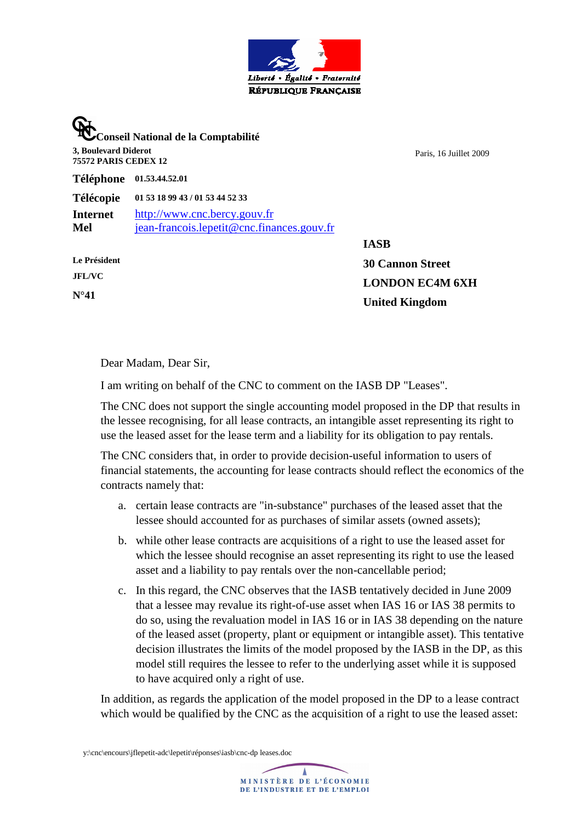

**Conseil National de la Comptabilité 3, Boulevard Diderot 75572 PARIS CEDEX 12** 

Paris, 16 Juillet 2009

**Téléphone 01.53.44.52.01** 

**Télécopie 01 53 18 99 43 / 01 53 44 52 33 Internet** http://www.cnc.bercy.gouv.fr **Mel** jean-francois.lepetit@cnc.finances.gouv.fr

**Le Président JFL/VC N°41** 

**IASB 30 Cannon Street LONDON EC4M 6XH United Kingdom** 

Dear Madam, Dear Sir,

I am writing on behalf of the CNC to comment on the IASB DP "Leases".

The CNC does not support the single accounting model proposed in the DP that results in the lessee recognising, for all lease contracts, an intangible asset representing its right to use the leased asset for the lease term and a liability for its obligation to pay rentals.

The CNC considers that, in order to provide decision-useful information to users of financial statements, the accounting for lease contracts should reflect the economics of the contracts namely that:

- a. certain lease contracts are "in-substance" purchases of the leased asset that the lessee should accounted for as purchases of similar assets (owned assets);
- b. while other lease contracts are acquisitions of a right to use the leased asset for which the lessee should recognise an asset representing its right to use the leased asset and a liability to pay rentals over the non-cancellable period;
- c. In this regard, the CNC observes that the IASB tentatively decided in June 2009 that a lessee may revalue its right-of-use asset when IAS 16 or IAS 38 permits to do so, using the revaluation model in IAS 16 or in IAS 38 depending on the nature of the leased asset (property, plant or equipment or intangible asset). This tentative decision illustrates the limits of the model proposed by the IASB in the DP, as this model still requires the lessee to refer to the underlying asset while it is supposed to have acquired only a right of use.

In addition, as regards the application of the model proposed in the DP to a lease contract which would be qualified by the CNC as the acquisition of a right to use the leased asset:

y:\cnc\encours\jflepetit-adc\lepetit\réponses\iasb\cnc-dp leases.doc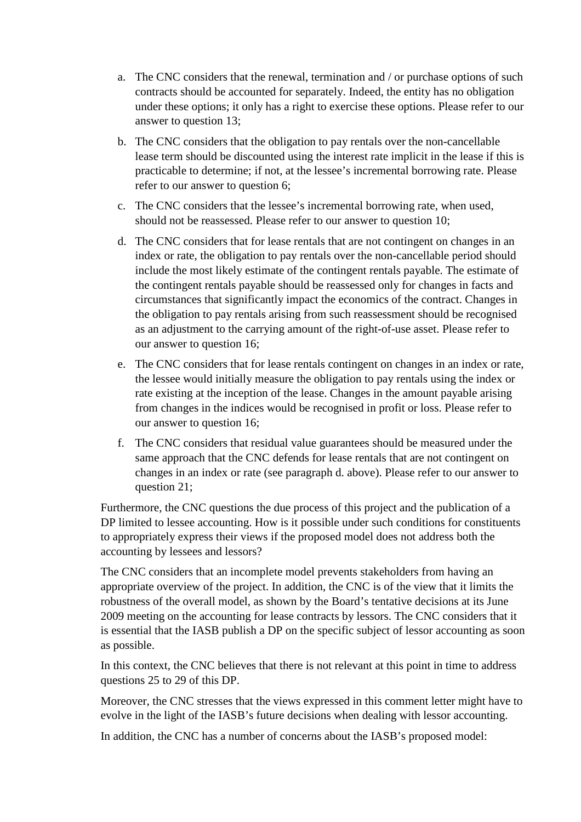- a. The CNC considers that the renewal, termination and / or purchase options of such contracts should be accounted for separately. Indeed, the entity has no obligation under these options; it only has a right to exercise these options. Please refer to our answer to question 13;
- b. The CNC considers that the obligation to pay rentals over the non-cancellable lease term should be discounted using the interest rate implicit in the lease if this is practicable to determine; if not, at the lessee's incremental borrowing rate. Please refer to our answer to question 6;
- c. The CNC considers that the lessee's incremental borrowing rate, when used, should not be reassessed. Please refer to our answer to question 10;
- d. The CNC considers that for lease rentals that are not contingent on changes in an index or rate, the obligation to pay rentals over the non-cancellable period should include the most likely estimate of the contingent rentals payable. The estimate of the contingent rentals payable should be reassessed only for changes in facts and circumstances that significantly impact the economics of the contract. Changes in the obligation to pay rentals arising from such reassessment should be recognised as an adjustment to the carrying amount of the right-of-use asset. Please refer to our answer to question 16;
- e. The CNC considers that for lease rentals contingent on changes in an index or rate, the lessee would initially measure the obligation to pay rentals using the index or rate existing at the inception of the lease. Changes in the amount payable arising from changes in the indices would be recognised in profit or loss. Please refer to our answer to question 16;
- f. The CNC considers that residual value guarantees should be measured under the same approach that the CNC defends for lease rentals that are not contingent on changes in an index or rate (see paragraph d. above). Please refer to our answer to question 21;

Furthermore, the CNC questions the due process of this project and the publication of a DP limited to lessee accounting. How is it possible under such conditions for constituents to appropriately express their views if the proposed model does not address both the accounting by lessees and lessors?

The CNC considers that an incomplete model prevents stakeholders from having an appropriate overview of the project. In addition, the CNC is of the view that it limits the robustness of the overall model, as shown by the Board's tentative decisions at its June 2009 meeting on the accounting for lease contracts by lessors. The CNC considers that it is essential that the IASB publish a DP on the specific subject of lessor accounting as soon as possible.

In this context, the CNC believes that there is not relevant at this point in time to address questions 25 to 29 of this DP.

Moreover, the CNC stresses that the views expressed in this comment letter might have to evolve in the light of the IASB's future decisions when dealing with lessor accounting.

In addition, the CNC has a number of concerns about the IASB's proposed model: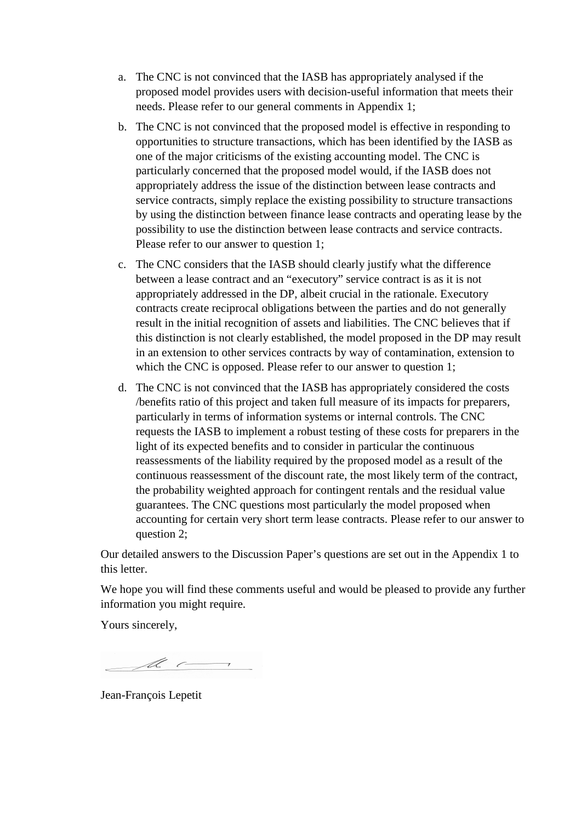- a. The CNC is not convinced that the IASB has appropriately analysed if the proposed model provides users with decision-useful information that meets their needs. Please refer to our general comments in Appendix 1;
- b. The CNC is not convinced that the proposed model is effective in responding to opportunities to structure transactions, which has been identified by the IASB as one of the major criticisms of the existing accounting model. The CNC is particularly concerned that the proposed model would, if the IASB does not appropriately address the issue of the distinction between lease contracts and service contracts, simply replace the existing possibility to structure transactions by using the distinction between finance lease contracts and operating lease by the possibility to use the distinction between lease contracts and service contracts. Please refer to our answer to question 1;
- c. The CNC considers that the IASB should clearly justify what the difference between a lease contract and an "executory" service contract is as it is not appropriately addressed in the DP, albeit crucial in the rationale. Executory contracts create reciprocal obligations between the parties and do not generally result in the initial recognition of assets and liabilities. The CNC believes that if this distinction is not clearly established, the model proposed in the DP may result in an extension to other services contracts by way of contamination, extension to which the CNC is opposed. Please refer to our answer to question 1;
- d. The CNC is not convinced that the IASB has appropriately considered the costs /benefits ratio of this project and taken full measure of its impacts for preparers, particularly in terms of information systems or internal controls. The CNC requests the IASB to implement a robust testing of these costs for preparers in the light of its expected benefits and to consider in particular the continuous reassessments of the liability required by the proposed model as a result of the continuous reassessment of the discount rate, the most likely term of the contract, the probability weighted approach for contingent rentals and the residual value guarantees. The CNC questions most particularly the model proposed when accounting for certain very short term lease contracts. Please refer to our answer to question 2;

Our detailed answers to the Discussion Paper's questions are set out in the Appendix 1 to this letter.

We hope you will find these comments useful and would be pleased to provide any further information you might require.

Yours sincerely,

 $\overline{\mathscr{M}}$ 

Jean-François Lepetit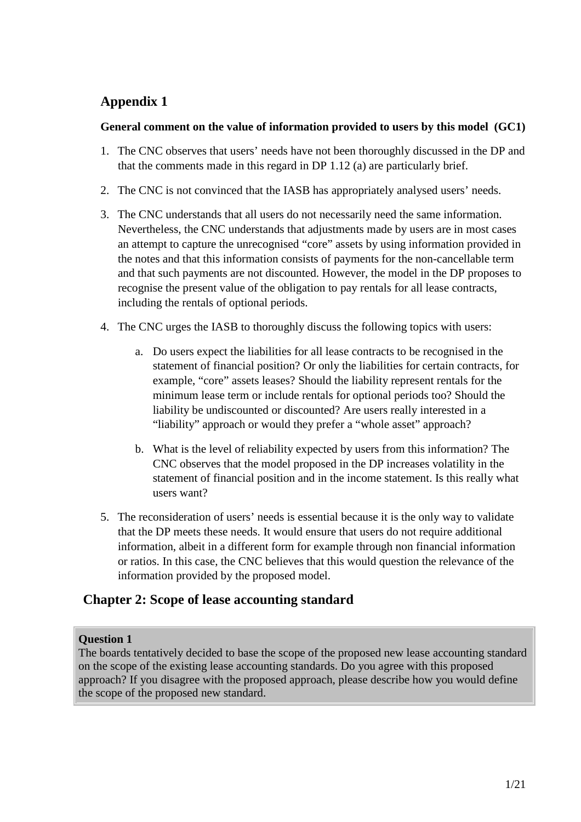# **Appendix 1**

## **General comment on the value of information provided to users by this model (GC1)**

- 1. The CNC observes that users' needs have not been thoroughly discussed in the DP and that the comments made in this regard in DP 1.12 (a) are particularly brief.
- 2. The CNC is not convinced that the IASB has appropriately analysed users' needs.
- 3. The CNC understands that all users do not necessarily need the same information. Nevertheless, the CNC understands that adjustments made by users are in most cases an attempt to capture the unrecognised "core" assets by using information provided in the notes and that this information consists of payments for the non-cancellable term and that such payments are not discounted. However, the model in the DP proposes to recognise the present value of the obligation to pay rentals for all lease contracts, including the rentals of optional periods.
- 4. The CNC urges the IASB to thoroughly discuss the following topics with users:
	- a. Do users expect the liabilities for all lease contracts to be recognised in the statement of financial position? Or only the liabilities for certain contracts, for example, "core" assets leases? Should the liability represent rentals for the minimum lease term or include rentals for optional periods too? Should the liability be undiscounted or discounted? Are users really interested in a "liability" approach or would they prefer a "whole asset" approach?
	- b. What is the level of reliability expected by users from this information? The CNC observes that the model proposed in the DP increases volatility in the statement of financial position and in the income statement. Is this really what users want?
- 5. The reconsideration of users' needs is essential because it is the only way to validate that the DP meets these needs. It would ensure that users do not require additional information, albeit in a different form for example through non financial information or ratios. In this case, the CNC believes that this would question the relevance of the information provided by the proposed model.

# **Chapter 2: Scope of lease accounting standard**

## **Question 1**

The boards tentatively decided to base the scope of the proposed new lease accounting standard on the scope of the existing lease accounting standards. Do you agree with this proposed approach? If you disagree with the proposed approach, please describe how you would define the scope of the proposed new standard.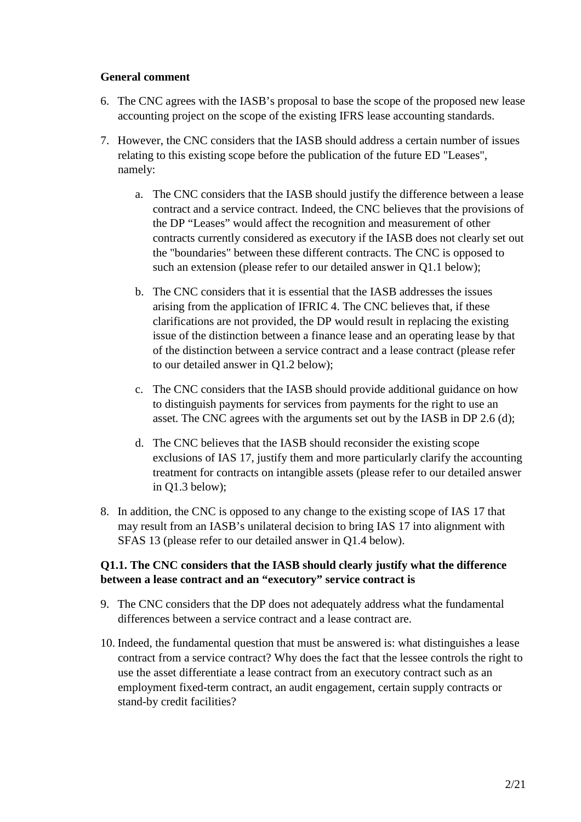#### **General comment**

- 6. The CNC agrees with the IASB's proposal to base the scope of the proposed new lease accounting project on the scope of the existing IFRS lease accounting standards.
- 7. However, the CNC considers that the IASB should address a certain number of issues relating to this existing scope before the publication of the future ED "Leases", namely:
	- a. The CNC considers that the IASB should justify the difference between a lease contract and a service contract. Indeed, the CNC believes that the provisions of the DP "Leases" would affect the recognition and measurement of other contracts currently considered as executory if the IASB does not clearly set out the "boundaries" between these different contracts. The CNC is opposed to such an extension (please refer to our detailed answer in Q1.1 below);
	- b. The CNC considers that it is essential that the IASB addresses the issues arising from the application of IFRIC 4. The CNC believes that, if these clarifications are not provided, the DP would result in replacing the existing issue of the distinction between a finance lease and an operating lease by that of the distinction between a service contract and a lease contract (please refer to our detailed answer in Q1.2 below);
	- c. The CNC considers that the IASB should provide additional guidance on how to distinguish payments for services from payments for the right to use an asset. The CNC agrees with the arguments set out by the IASB in DP 2.6 (d);
	- d. The CNC believes that the IASB should reconsider the existing scope exclusions of IAS 17, justify them and more particularly clarify the accounting treatment for contracts on intangible assets (please refer to our detailed answer in Q1.3 below);
- 8. In addition, the CNC is opposed to any change to the existing scope of IAS 17 that may result from an IASB's unilateral decision to bring IAS 17 into alignment with SFAS 13 (please refer to our detailed answer in Q1.4 below).

## **Q1.1. The CNC considers that the IASB should clearly justify what the difference between a lease contract and an "executory" service contract is**

- 9. The CNC considers that the DP does not adequately address what the fundamental differences between a service contract and a lease contract are.
- 10. Indeed, the fundamental question that must be answered is: what distinguishes a lease contract from a service contract? Why does the fact that the lessee controls the right to use the asset differentiate a lease contract from an executory contract such as an employment fixed-term contract, an audit engagement, certain supply contracts or stand-by credit facilities?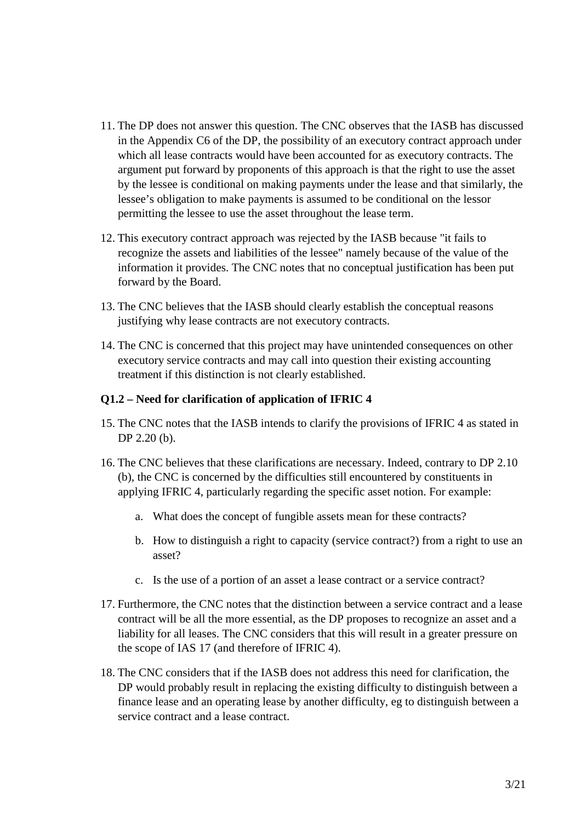- 11. The DP does not answer this question. The CNC observes that the IASB has discussed in the Appendix C6 of the DP, the possibility of an executory contract approach under which all lease contracts would have been accounted for as executory contracts. The argument put forward by proponents of this approach is that the right to use the asset by the lessee is conditional on making payments under the lease and that similarly, the lessee's obligation to make payments is assumed to be conditional on the lessor permitting the lessee to use the asset throughout the lease term.
- 12. This executory contract approach was rejected by the IASB because "it fails to recognize the assets and liabilities of the lessee" namely because of the value of the information it provides. The CNC notes that no conceptual justification has been put forward by the Board.
- 13. The CNC believes that the IASB should clearly establish the conceptual reasons justifying why lease contracts are not executory contracts.
- 14. The CNC is concerned that this project may have unintended consequences on other executory service contracts and may call into question their existing accounting treatment if this distinction is not clearly established.

#### **Q1.2 – Need for clarification of application of IFRIC 4**

- 15. The CNC notes that the IASB intends to clarify the provisions of IFRIC 4 as stated in DP 2.20 (b).
- 16. The CNC believes that these clarifications are necessary. Indeed, contrary to DP 2.10 (b), the CNC is concerned by the difficulties still encountered by constituents in applying IFRIC 4, particularly regarding the specific asset notion. For example:
	- a. What does the concept of fungible assets mean for these contracts?
	- b. How to distinguish a right to capacity (service contract?) from a right to use an asset?
	- c. Is the use of a portion of an asset a lease contract or a service contract?
- 17. Furthermore, the CNC notes that the distinction between a service contract and a lease contract will be all the more essential, as the DP proposes to recognize an asset and a liability for all leases. The CNC considers that this will result in a greater pressure on the scope of IAS 17 (and therefore of IFRIC 4).
- 18. The CNC considers that if the IASB does not address this need for clarification, the DP would probably result in replacing the existing difficulty to distinguish between a finance lease and an operating lease by another difficulty, eg to distinguish between a service contract and a lease contract.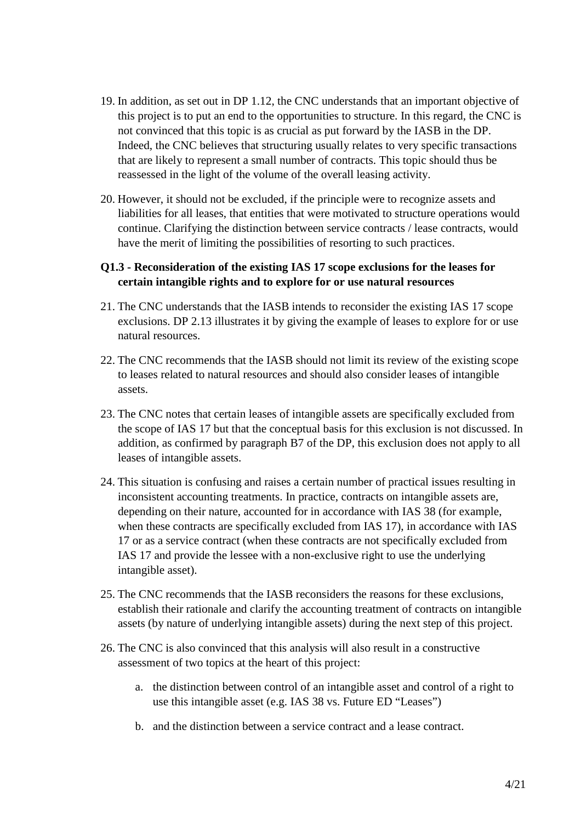- 19. In addition, as set out in DP 1.12, the CNC understands that an important objective of this project is to put an end to the opportunities to structure. In this regard, the CNC is not convinced that this topic is as crucial as put forward by the IASB in the DP. Indeed, the CNC believes that structuring usually relates to very specific transactions that are likely to represent a small number of contracts. This topic should thus be reassessed in the light of the volume of the overall leasing activity.
- 20. However, it should not be excluded, if the principle were to recognize assets and liabilities for all leases, that entities that were motivated to structure operations would continue. Clarifying the distinction between service contracts / lease contracts, would have the merit of limiting the possibilities of resorting to such practices.

### **Q1.3 - Reconsideration of the existing IAS 17 scope exclusions for the leases for certain intangible rights and to explore for or use natural resources**

- 21. The CNC understands that the IASB intends to reconsider the existing IAS 17 scope exclusions. DP 2.13 illustrates it by giving the example of leases to explore for or use natural resources.
- 22. The CNC recommends that the IASB should not limit its review of the existing scope to leases related to natural resources and should also consider leases of intangible assets.
- 23. The CNC notes that certain leases of intangible assets are specifically excluded from the scope of IAS 17 but that the conceptual basis for this exclusion is not discussed. In addition, as confirmed by paragraph B7 of the DP, this exclusion does not apply to all leases of intangible assets.
- 24. This situation is confusing and raises a certain number of practical issues resulting in inconsistent accounting treatments. In practice, contracts on intangible assets are, depending on their nature, accounted for in accordance with IAS 38 (for example, when these contracts are specifically excluded from IAS 17), in accordance with IAS 17 or as a service contract (when these contracts are not specifically excluded from IAS 17 and provide the lessee with a non-exclusive right to use the underlying intangible asset).
- 25. The CNC recommends that the IASB reconsiders the reasons for these exclusions, establish their rationale and clarify the accounting treatment of contracts on intangible assets (by nature of underlying intangible assets) during the next step of this project.
- 26. The CNC is also convinced that this analysis will also result in a constructive assessment of two topics at the heart of this project:
	- a. the distinction between control of an intangible asset and control of a right to use this intangible asset (e.g. IAS 38 vs. Future ED "Leases")
	- b. and the distinction between a service contract and a lease contract.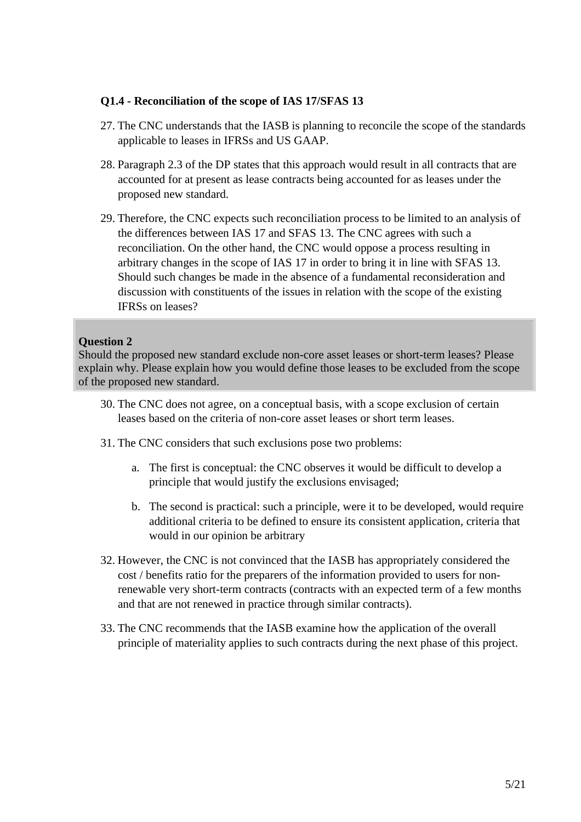#### **Q1.4 - Reconciliation of the scope of IAS 17/SFAS 13**

- 27. The CNC understands that the IASB is planning to reconcile the scope of the standards applicable to leases in IFRSs and US GAAP.
- 28. Paragraph 2.3 of the DP states that this approach would result in all contracts that are accounted for at present as lease contracts being accounted for as leases under the proposed new standard.
- 29. Therefore, the CNC expects such reconciliation process to be limited to an analysis of the differences between IAS 17 and SFAS 13. The CNC agrees with such a reconciliation. On the other hand, the CNC would oppose a process resulting in arbitrary changes in the scope of IAS 17 in order to bring it in line with SFAS 13. Should such changes be made in the absence of a fundamental reconsideration and discussion with constituents of the issues in relation with the scope of the existing IFRSs on leases?

## **Question 2**

Should the proposed new standard exclude non-core asset leases or short-term leases? Please explain why. Please explain how you would define those leases to be excluded from the scope of the proposed new standard.

- 30. The CNC does not agree, on a conceptual basis, with a scope exclusion of certain leases based on the criteria of non-core asset leases or short term leases.
- 31. The CNC considers that such exclusions pose two problems:
	- a. The first is conceptual: the CNC observes it would be difficult to develop a principle that would justify the exclusions envisaged;
	- b. The second is practical: such a principle, were it to be developed, would require additional criteria to be defined to ensure its consistent application, criteria that would in our opinion be arbitrary
- 32. However, the CNC is not convinced that the IASB has appropriately considered the cost / benefits ratio for the preparers of the information provided to users for nonrenewable very short-term contracts (contracts with an expected term of a few months and that are not renewed in practice through similar contracts).
- 33. The CNC recommends that the IASB examine how the application of the overall principle of materiality applies to such contracts during the next phase of this project.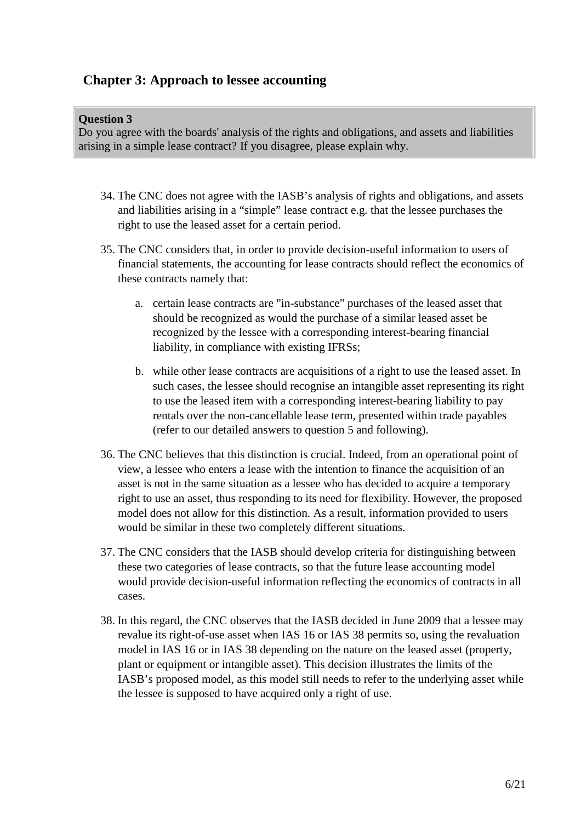# **Chapter 3: Approach to lessee accounting**

#### **Question 3**

Do you agree with the boards' analysis of the rights and obligations, and assets and liabilities arising in a simple lease contract? If you disagree, please explain why.

- 34. The CNC does not agree with the IASB's analysis of rights and obligations, and assets and liabilities arising in a "simple" lease contract e.g. that the lessee purchases the right to use the leased asset for a certain period.
- 35. The CNC considers that, in order to provide decision-useful information to users of financial statements, the accounting for lease contracts should reflect the economics of these contracts namely that:
	- a. certain lease contracts are "in-substance" purchases of the leased asset that should be recognized as would the purchase of a similar leased asset be recognized by the lessee with a corresponding interest-bearing financial liability, in compliance with existing IFRSs;
	- b. while other lease contracts are acquisitions of a right to use the leased asset. In such cases, the lessee should recognise an intangible asset representing its right to use the leased item with a corresponding interest-bearing liability to pay rentals over the non-cancellable lease term, presented within trade payables (refer to our detailed answers to question 5 and following).
- 36. The CNC believes that this distinction is crucial. Indeed, from an operational point of view, a lessee who enters a lease with the intention to finance the acquisition of an asset is not in the same situation as a lessee who has decided to acquire a temporary right to use an asset, thus responding to its need for flexibility. However, the proposed model does not allow for this distinction. As a result, information provided to users would be similar in these two completely different situations.
- 37. The CNC considers that the IASB should develop criteria for distinguishing between these two categories of lease contracts, so that the future lease accounting model would provide decision-useful information reflecting the economics of contracts in all cases.
- 38. In this regard, the CNC observes that the IASB decided in June 2009 that a lessee may revalue its right-of-use asset when IAS 16 or IAS 38 permits so, using the revaluation model in IAS 16 or in IAS 38 depending on the nature on the leased asset (property, plant or equipment or intangible asset). This decision illustrates the limits of the IASB's proposed model, as this model still needs to refer to the underlying asset while the lessee is supposed to have acquired only a right of use.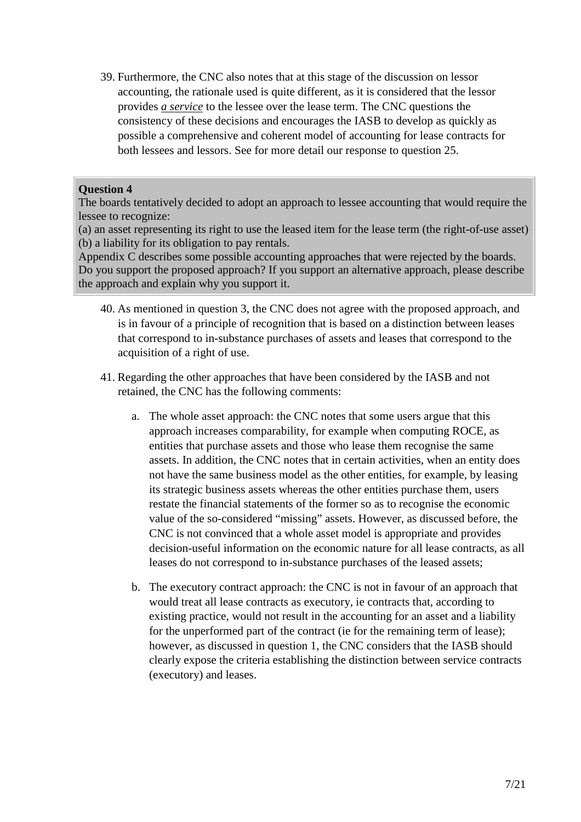39. Furthermore, the CNC also notes that at this stage of the discussion on lessor accounting, the rationale used is quite different, as it is considered that the lessor provides *a service* to the lessee over the lease term. The CNC questions the consistency of these decisions and encourages the IASB to develop as quickly as possible a comprehensive and coherent model of accounting for lease contracts for both lessees and lessors. See for more detail our response to question 25.

## **Question 4**

The boards tentatively decided to adopt an approach to lessee accounting that would require the lessee to recognize:

(a) an asset representing its right to use the leased item for the lease term (the right-of-use asset) (b) a liability for its obligation to pay rentals.

Appendix C describes some possible accounting approaches that were rejected by the boards. Do you support the proposed approach? If you support an alternative approach, please describe the approach and explain why you support it.

- 40. As mentioned in question 3, the CNC does not agree with the proposed approach, and is in favour of a principle of recognition that is based on a distinction between leases that correspond to in-substance purchases of assets and leases that correspond to the acquisition of a right of use.
- 41. Regarding the other approaches that have been considered by the IASB and not retained, the CNC has the following comments:
	- a. The whole asset approach: the CNC notes that some users argue that this approach increases comparability, for example when computing ROCE, as entities that purchase assets and those who lease them recognise the same assets. In addition, the CNC notes that in certain activities, when an entity does not have the same business model as the other entities, for example, by leasing its strategic business assets whereas the other entities purchase them, users restate the financial statements of the former so as to recognise the economic value of the so-considered "missing" assets. However, as discussed before, the CNC is not convinced that a whole asset model is appropriate and provides decision-useful information on the economic nature for all lease contracts, as all leases do not correspond to in-substance purchases of the leased assets;
	- b. The executory contract approach: the CNC is not in favour of an approach that would treat all lease contracts as executory, ie contracts that, according to existing practice, would not result in the accounting for an asset and a liability for the unperformed part of the contract (ie for the remaining term of lease); however, as discussed in question 1, the CNC considers that the IASB should clearly expose the criteria establishing the distinction between service contracts (executory) and leases.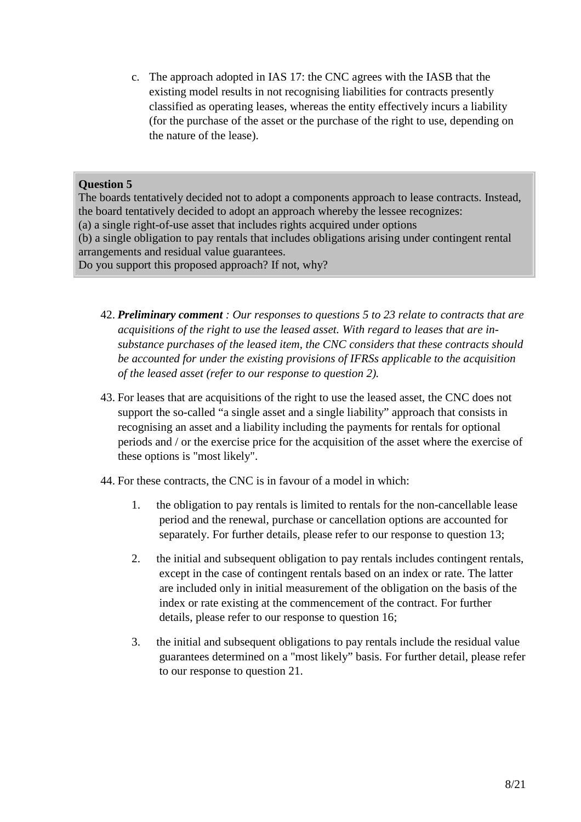c. The approach adopted in IAS 17: the CNC agrees with the IASB that the existing model results in not recognising liabilities for contracts presently classified as operating leases, whereas the entity effectively incurs a liability (for the purchase of the asset or the purchase of the right to use, depending on the nature of the lease).

## **Question 5**

The boards tentatively decided not to adopt a components approach to lease contracts. Instead, the board tentatively decided to adopt an approach whereby the lessee recognizes: (a) a single right-of-use asset that includes rights acquired under options (b) a single obligation to pay rentals that includes obligations arising under contingent rental arrangements and residual value guarantees. Do you support this proposed approach? If not, why?

- 42. *Preliminary comment : Our responses to questions 5 to 23 relate to contracts that are acquisitions of the right to use the leased asset. With regard to leases that are insubstance purchases of the leased item, the CNC considers that these contracts should be accounted for under the existing provisions of IFRSs applicable to the acquisition of the leased asset (refer to our response to question 2).*
- 43. For leases that are acquisitions of the right to use the leased asset, the CNC does not support the so-called "a single asset and a single liability" approach that consists in recognising an asset and a liability including the payments for rentals for optional periods and / or the exercise price for the acquisition of the asset where the exercise of these options is "most likely".
- 44. For these contracts, the CNC is in favour of a model in which:
	- 1. the obligation to pay rentals is limited to rentals for the non-cancellable lease period and the renewal, purchase or cancellation options are accounted for separately. For further details, please refer to our response to question 13;
	- 2. the initial and subsequent obligation to pay rentals includes contingent rentals, except in the case of contingent rentals based on an index or rate. The latter are included only in initial measurement of the obligation on the basis of the index or rate existing at the commencement of the contract. For further details, please refer to our response to question 16;
	- 3. the initial and subsequent obligations to pay rentals include the residual value guarantees determined on a "most likely" basis. For further detail, please refer to our response to question 21.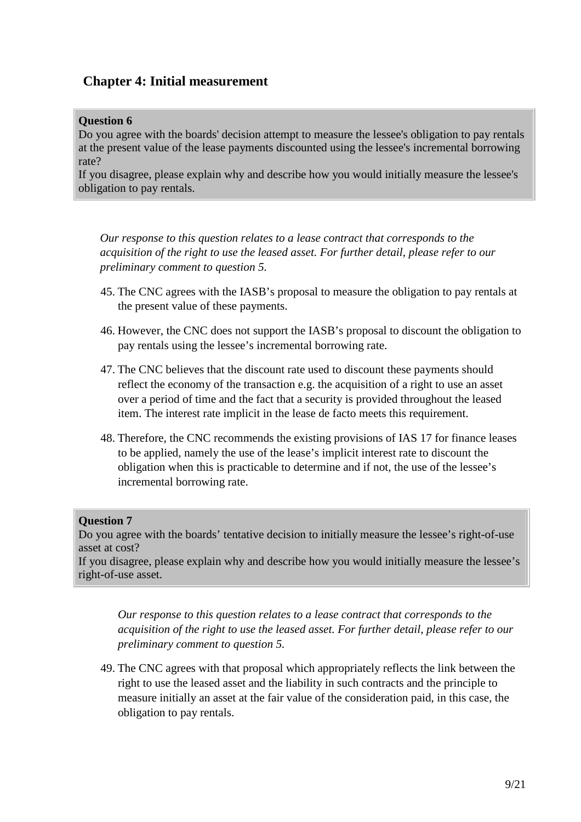# **Chapter 4: Initial measurement**

#### **Question 6**

Do you agree with the boards' decision attempt to measure the lessee's obligation to pay rentals at the present value of the lease payments discounted using the lessee's incremental borrowing rate?

If you disagree, please explain why and describe how you would initially measure the lessee's obligation to pay rentals.

*Our response to this question relates to a lease contract that corresponds to the acquisition of the right to use the leased asset. For further detail, please refer to our preliminary comment to question 5.*

- 45. The CNC agrees with the IASB's proposal to measure the obligation to pay rentals at the present value of these payments.
- 46. However, the CNC does not support the IASB's proposal to discount the obligation to pay rentals using the lessee's incremental borrowing rate.
- 47. The CNC believes that the discount rate used to discount these payments should reflect the economy of the transaction e.g. the acquisition of a right to use an asset over a period of time and the fact that a security is provided throughout the leased item. The interest rate implicit in the lease de facto meets this requirement.
- 48. Therefore, the CNC recommends the existing provisions of IAS 17 for finance leases to be applied, namely the use of the lease's implicit interest rate to discount the obligation when this is practicable to determine and if not, the use of the lessee's incremental borrowing rate.

#### **Question 7**

Do you agree with the boards' tentative decision to initially measure the lessee's right-of-use asset at cost?

If you disagree, please explain why and describe how you would initially measure the lessee's right-of-use asset.

*Our response to this question relates to a lease contract that corresponds to the acquisition of the right to use the leased asset. For further detail, please refer to our preliminary comment to question 5.* 

49. The CNC agrees with that proposal which appropriately reflects the link between the right to use the leased asset and the liability in such contracts and the principle to measure initially an asset at the fair value of the consideration paid, in this case, the obligation to pay rentals.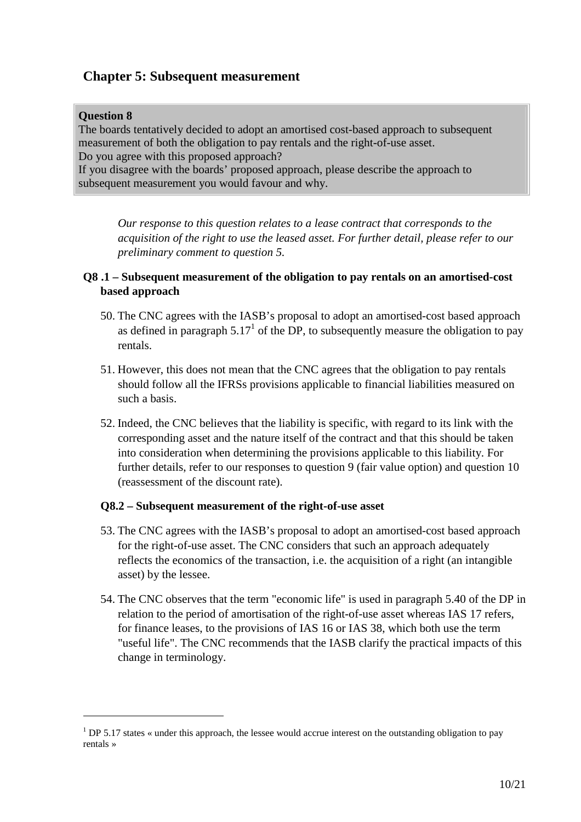# **Chapter 5: Subsequent measurement**

## **Question 8**

 $\overline{a}$ 

The boards tentatively decided to adopt an amortised cost-based approach to subsequent measurement of both the obligation to pay rentals and the right-of-use asset. Do you agree with this proposed approach? If you disagree with the boards' proposed approach, please describe the approach to subsequent measurement you would favour and why.

*Our response to this question relates to a lease contract that corresponds to the acquisition of the right to use the leased asset. For further detail, please refer to our preliminary comment to question 5.* 

## **Q8 .1 – Subsequent measurement of the obligation to pay rentals on an amortised-cost based approach**

- 50. The CNC agrees with the IASB's proposal to adopt an amortised-cost based approach as defined in paragraph  $5.17<sup>1</sup>$  of the DP, to subsequently measure the obligation to pay rentals.
- 51. However, this does not mean that the CNC agrees that the obligation to pay rentals should follow all the IFRSs provisions applicable to financial liabilities measured on such a basis.
- 52. Indeed, the CNC believes that the liability is specific, with regard to its link with the corresponding asset and the nature itself of the contract and that this should be taken into consideration when determining the provisions applicable to this liability. For further details, refer to our responses to question 9 (fair value option) and question 10 (reassessment of the discount rate).

## **Q8.2 – Subsequent measurement of the right-of-use asset**

- 53. The CNC agrees with the IASB's proposal to adopt an amortised-cost based approach for the right-of-use asset. The CNC considers that such an approach adequately reflects the economics of the transaction, i.e. the acquisition of a right (an intangible asset) by the lessee.
- 54. The CNC observes that the term "economic life" is used in paragraph 5.40 of the DP in relation to the period of amortisation of the right-of-use asset whereas IAS 17 refers, for finance leases, to the provisions of IAS 16 or IAS 38, which both use the term "useful life". The CNC recommends that the IASB clarify the practical impacts of this change in terminology.

<sup>&</sup>lt;sup>1</sup> DP 5.17 states « under this approach, the lessee would accrue interest on the outstanding obligation to pay rentals »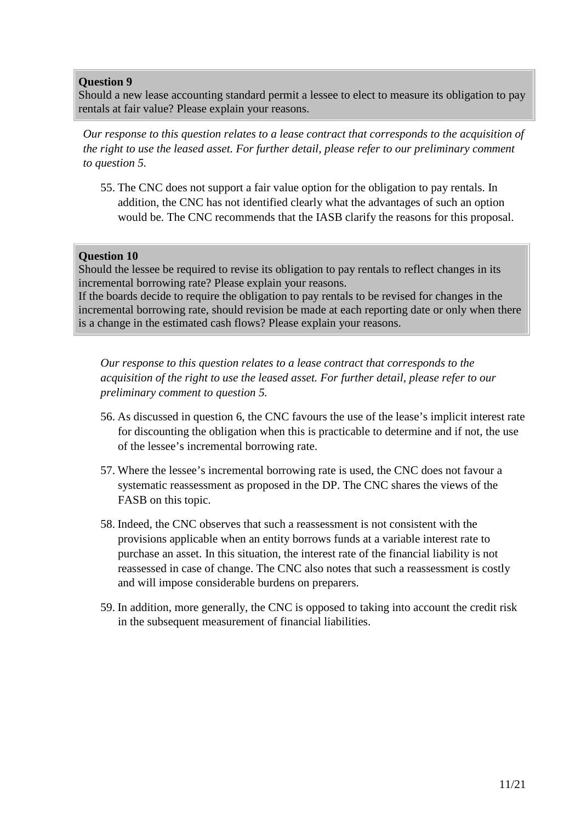Should a new lease accounting standard permit a lessee to elect to measure its obligation to pay rentals at fair value? Please explain your reasons.

*Our response to this question relates to a lease contract that corresponds to the acquisition of the right to use the leased asset. For further detail, please refer to our preliminary comment to question 5.* 

55. The CNC does not support a fair value option for the obligation to pay rentals. In addition, the CNC has not identified clearly what the advantages of such an option would be. The CNC recommends that the IASB clarify the reasons for this proposal.

#### **Question 10**

Should the lessee be required to revise its obligation to pay rentals to reflect changes in its incremental borrowing rate? Please explain your reasons.

If the boards decide to require the obligation to pay rentals to be revised for changes in the incremental borrowing rate, should revision be made at each reporting date or only when there is a change in the estimated cash flows? Please explain your reasons.

- 56. As discussed in question 6, the CNC favours the use of the lease's implicit interest rate for discounting the obligation when this is practicable to determine and if not, the use of the lessee's incremental borrowing rate.
- 57. Where the lessee's incremental borrowing rate is used, the CNC does not favour a systematic reassessment as proposed in the DP. The CNC shares the views of the FASB on this topic.
- 58. Indeed, the CNC observes that such a reassessment is not consistent with the provisions applicable when an entity borrows funds at a variable interest rate to purchase an asset. In this situation, the interest rate of the financial liability is not reassessed in case of change. The CNC also notes that such a reassessment is costly and will impose considerable burdens on preparers.
- 59. In addition, more generally, the CNC is opposed to taking into account the credit risk in the subsequent measurement of financial liabilities.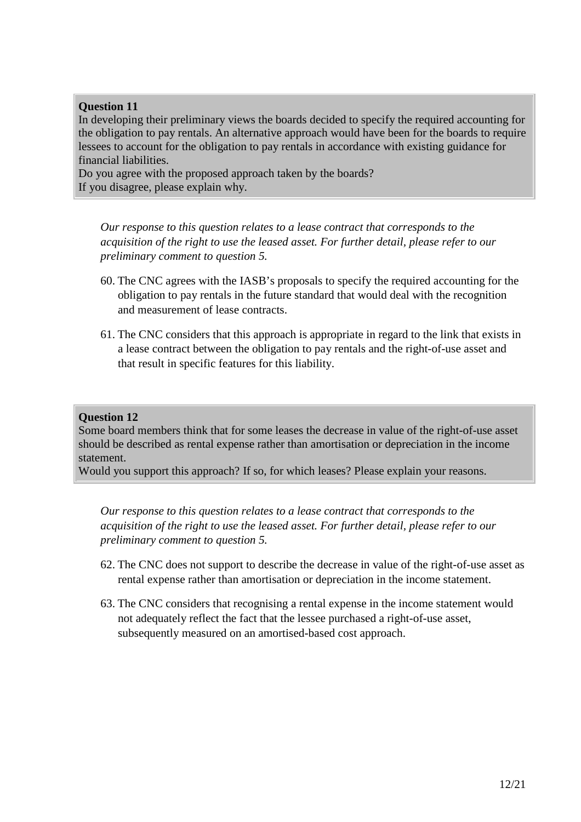In developing their preliminary views the boards decided to specify the required accounting for the obligation to pay rentals. An alternative approach would have been for the boards to require lessees to account for the obligation to pay rentals in accordance with existing guidance for financial liabilities.

Do you agree with the proposed approach taken by the boards? If you disagree, please explain why.

*Our response to this question relates to a lease contract that corresponds to the acquisition of the right to use the leased asset. For further detail, please refer to our preliminary comment to question 5.* 

- 60. The CNC agrees with the IASB's proposals to specify the required accounting for the obligation to pay rentals in the future standard that would deal with the recognition and measurement of lease contracts.
- 61. The CNC considers that this approach is appropriate in regard to the link that exists in a lease contract between the obligation to pay rentals and the right-of-use asset and that result in specific features for this liability.

### **Question 12**

Some board members think that for some leases the decrease in value of the right-of-use asset should be described as rental expense rather than amortisation or depreciation in the income statement.

Would you support this approach? If so, for which leases? Please explain your reasons.

- 62. The CNC does not support to describe the decrease in value of the right-of-use asset as rental expense rather than amortisation or depreciation in the income statement.
- 63. The CNC considers that recognising a rental expense in the income statement would not adequately reflect the fact that the lessee purchased a right-of-use asset, subsequently measured on an amortised-based cost approach.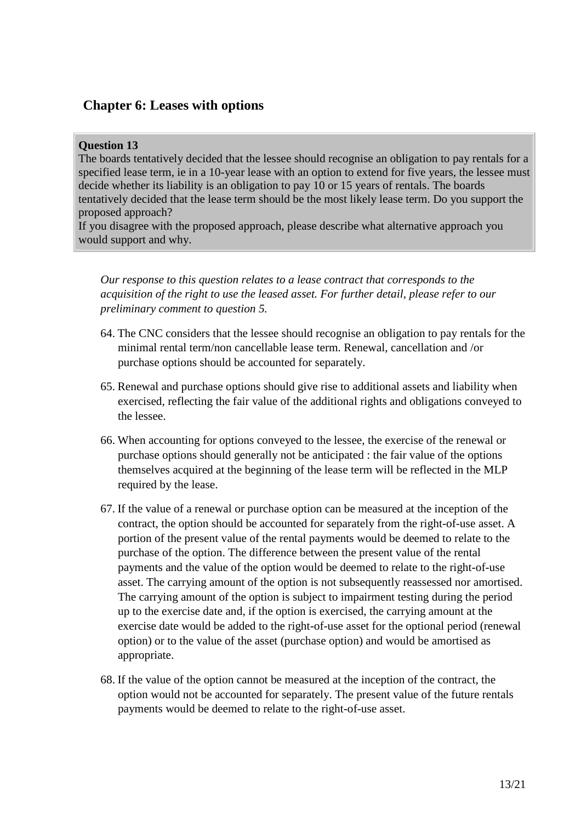# **Chapter 6: Leases with options**

#### **Question 13**

The boards tentatively decided that the lessee should recognise an obligation to pay rentals for a specified lease term, ie in a 10-year lease with an option to extend for five years, the lessee must decide whether its liability is an obligation to pay 10 or 15 years of rentals. The boards tentatively decided that the lease term should be the most likely lease term. Do you support the proposed approach?

If you disagree with the proposed approach, please describe what alternative approach you would support and why.

- 64. The CNC considers that the lessee should recognise an obligation to pay rentals for the minimal rental term/non cancellable lease term. Renewal, cancellation and /or purchase options should be accounted for separately.
- 65. Renewal and purchase options should give rise to additional assets and liability when exercised, reflecting the fair value of the additional rights and obligations conveyed to the lessee.
- 66. When accounting for options conveyed to the lessee, the exercise of the renewal or purchase options should generally not be anticipated : the fair value of the options themselves acquired at the beginning of the lease term will be reflected in the MLP required by the lease.
- 67. If the value of a renewal or purchase option can be measured at the inception of the contract, the option should be accounted for separately from the right-of-use asset. A portion of the present value of the rental payments would be deemed to relate to the purchase of the option. The difference between the present value of the rental payments and the value of the option would be deemed to relate to the right-of-use asset. The carrying amount of the option is not subsequently reassessed nor amortised. The carrying amount of the option is subject to impairment testing during the period up to the exercise date and, if the option is exercised, the carrying amount at the exercise date would be added to the right-of-use asset for the optional period (renewal option) or to the value of the asset (purchase option) and would be amortised as appropriate.
- 68. If the value of the option cannot be measured at the inception of the contract, the option would not be accounted for separately. The present value of the future rentals payments would be deemed to relate to the right-of-use asset.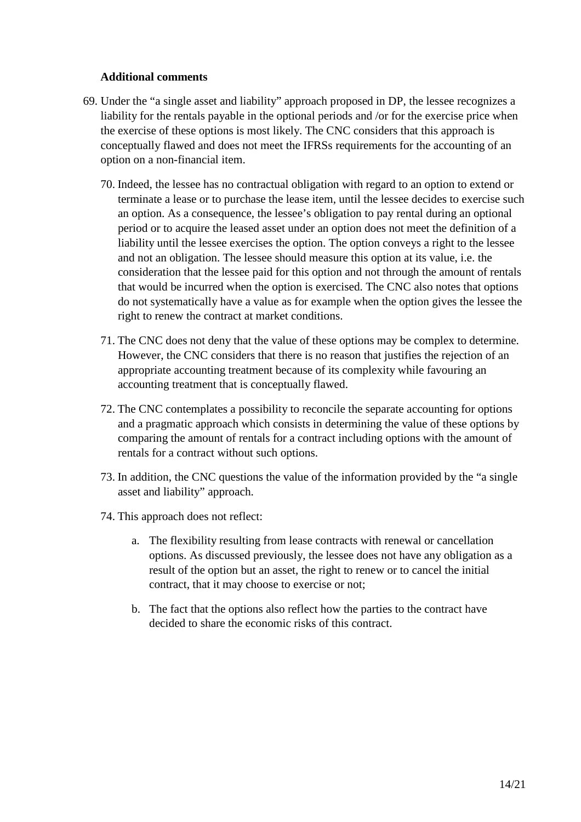#### **Additional comments**

- 69. Under the "a single asset and liability" approach proposed in DP, the lessee recognizes a liability for the rentals payable in the optional periods and /or for the exercise price when the exercise of these options is most likely. The CNC considers that this approach is conceptually flawed and does not meet the IFRSs requirements for the accounting of an option on a non-financial item.
	- 70. Indeed, the lessee has no contractual obligation with regard to an option to extend or terminate a lease or to purchase the lease item, until the lessee decides to exercise such an option. As a consequence, the lessee's obligation to pay rental during an optional period or to acquire the leased asset under an option does not meet the definition of a liability until the lessee exercises the option. The option conveys a right to the lessee and not an obligation. The lessee should measure this option at its value, i.e. the consideration that the lessee paid for this option and not through the amount of rentals that would be incurred when the option is exercised. The CNC also notes that options do not systematically have a value as for example when the option gives the lessee the right to renew the contract at market conditions.
	- 71. The CNC does not deny that the value of these options may be complex to determine. However, the CNC considers that there is no reason that justifies the rejection of an appropriate accounting treatment because of its complexity while favouring an accounting treatment that is conceptually flawed.
	- 72. The CNC contemplates a possibility to reconcile the separate accounting for options and a pragmatic approach which consists in determining the value of these options by comparing the amount of rentals for a contract including options with the amount of rentals for a contract without such options.
	- 73. In addition, the CNC questions the value of the information provided by the "a single asset and liability" approach.
	- 74. This approach does not reflect:
		- a. The flexibility resulting from lease contracts with renewal or cancellation options. As discussed previously, the lessee does not have any obligation as a result of the option but an asset, the right to renew or to cancel the initial contract, that it may choose to exercise or not;
		- b. The fact that the options also reflect how the parties to the contract have decided to share the economic risks of this contract.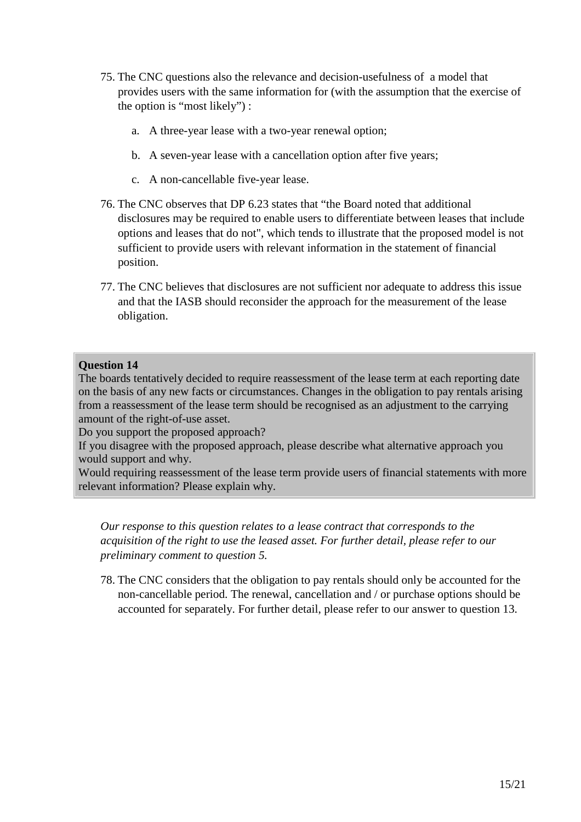- 75. The CNC questions also the relevance and decision-usefulness of a model that provides users with the same information for (with the assumption that the exercise of the option is "most likely") :
	- a. A three-year lease with a two-year renewal option;
	- b. A seven-year lease with a cancellation option after five years;
	- c. A non-cancellable five-year lease.
- 76. The CNC observes that DP 6.23 states that "the Board noted that additional disclosures may be required to enable users to differentiate between leases that include options and leases that do not", which tends to illustrate that the proposed model is not sufficient to provide users with relevant information in the statement of financial position.
- 77. The CNC believes that disclosures are not sufficient nor adequate to address this issue and that the IASB should reconsider the approach for the measurement of the lease obligation.

The boards tentatively decided to require reassessment of the lease term at each reporting date on the basis of any new facts or circumstances. Changes in the obligation to pay rentals arising from a reassessment of the lease term should be recognised as an adjustment to the carrying amount of the right-of-use asset.

Do you support the proposed approach?

If you disagree with the proposed approach, please describe what alternative approach you would support and why.

Would requiring reassessment of the lease term provide users of financial statements with more relevant information? Please explain why.

*Our response to this question relates to a lease contract that corresponds to the acquisition of the right to use the leased asset. For further detail, please refer to our preliminary comment to question 5.* 

78. The CNC considers that the obligation to pay rentals should only be accounted for the non-cancellable period. The renewal, cancellation and / or purchase options should be accounted for separately. For further detail, please refer to our answer to question 13.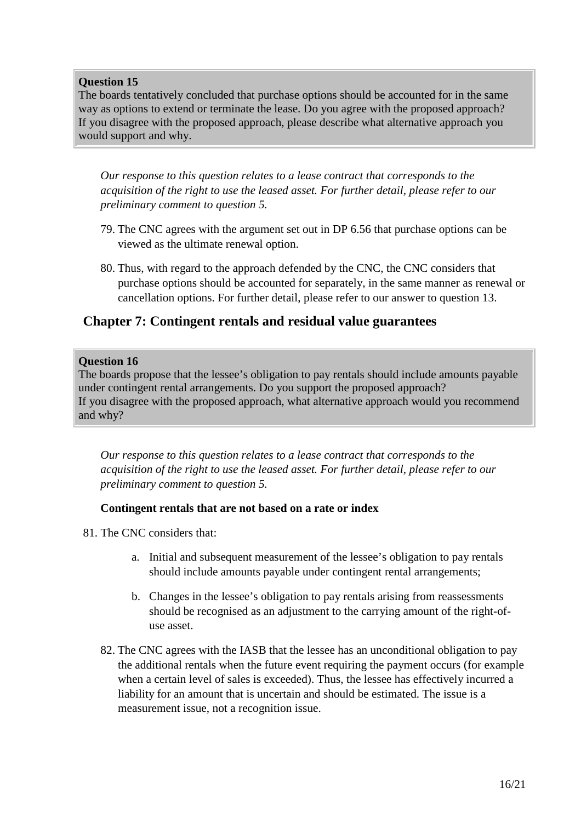The boards tentatively concluded that purchase options should be accounted for in the same way as options to extend or terminate the lease. Do you agree with the proposed approach? If you disagree with the proposed approach, please describe what alternative approach you would support and why.

*Our response to this question relates to a lease contract that corresponds to the acquisition of the right to use the leased asset. For further detail, please refer to our preliminary comment to question 5.* 

- 79. The CNC agrees with the argument set out in DP 6.56 that purchase options can be viewed as the ultimate renewal option.
- 80. Thus, with regard to the approach defended by the CNC, the CNC considers that purchase options should be accounted for separately, in the same manner as renewal or cancellation options. For further detail, please refer to our answer to question 13.

# **Chapter 7: Contingent rentals and residual value guarantees**

#### **Question 16**

The boards propose that the lessee's obligation to pay rentals should include amounts payable under contingent rental arrangements. Do you support the proposed approach? If you disagree with the proposed approach, what alternative approach would you recommend and why?

*Our response to this question relates to a lease contract that corresponds to the acquisition of the right to use the leased asset. For further detail, please refer to our preliminary comment to question 5.* 

## **Contingent rentals that are not based on a rate or index**

- 81. The CNC considers that:
	- a. Initial and subsequent measurement of the lessee's obligation to pay rentals should include amounts payable under contingent rental arrangements;
	- b. Changes in the lessee's obligation to pay rentals arising from reassessments should be recognised as an adjustment to the carrying amount of the right-ofuse asset.
	- 82. The CNC agrees with the IASB that the lessee has an unconditional obligation to pay the additional rentals when the future event requiring the payment occurs (for example when a certain level of sales is exceeded). Thus, the lessee has effectively incurred a liability for an amount that is uncertain and should be estimated. The issue is a measurement issue, not a recognition issue.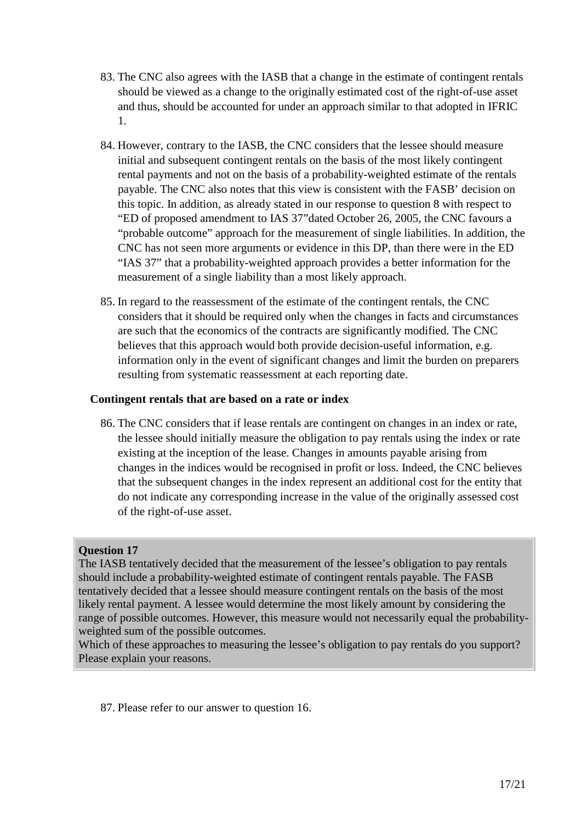- 83. The CNC also agrees with the IASB that a change in the estimate of contingent rentals should be viewed as a change to the originally estimated cost of the right-of-use asset and thus, should be accounted for under an approach similar to that adopted in IFRIC 1.
- 84. However, contrary to the IASB, the CNC considers that the lessee should measure initial and subsequent contingent rentals on the basis of the most likely contingent rental payments and not on the basis of a probability-weighted estimate of the rentals payable. The CNC also notes that this view is consistent with the FASB' decision on this topic. In addition, as already stated in our response to question 8 with respect to "ED of proposed amendment to IAS 37"dated October 26, 2005, the CNC favours a "probable outcome" approach for the measurement of single liabilities. In addition, the CNC has not seen more arguments or evidence in this DP, than there were in the ED "IAS 37" that a probability-weighted approach provides a better information for the measurement of a single liability than a most likely approach.
- 85. In regard to the reassessment of the estimate of the contingent rentals, the CNC considers that it should be required only when the changes in facts and circumstances are such that the economics of the contracts are significantly modified. The CNC believes that this approach would both provide decision-useful information, e.g. information only in the event of significant changes and limit the burden on preparers resulting from systematic reassessment at each reporting date.

#### **Contingent rentals that are based on a rate or index**

86. The CNC considers that if lease rentals are contingent on changes in an index or rate, the lessee should initially measure the obligation to pay rentals using the index or rate existing at the inception of the lease. Changes in amounts payable arising from changes in the indices would be recognised in profit or loss. Indeed, the CNC believes that the subsequent changes in the index represent an additional cost for the entity that do not indicate any corresponding increase in the value of the originally assessed cost of the right-of-use asset.

## **Question 17**

The IASB tentatively decided that the measurement of the lessee's obligation to pay rentals should include a probability-weighted estimate of contingent rentals payable. The FASB tentatively decided that a lessee should measure contingent rentals on the basis of the most likely rental payment. A lessee would determine the most likely amount by considering the range of possible outcomes. However, this measure would not necessarily equal the probabilityweighted sum of the possible outcomes.

Which of these approaches to measuring the lessee's obligation to pay rentals do you support? Please explain your reasons.

87. Please refer to our answer to question 16.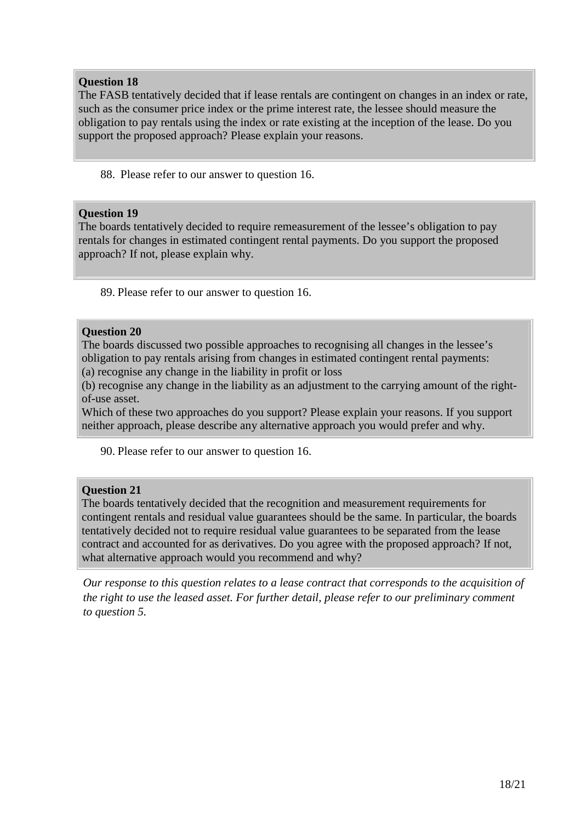The FASB tentatively decided that if lease rentals are contingent on changes in an index or rate, such as the consumer price index or the prime interest rate, the lessee should measure the obligation to pay rentals using the index or rate existing at the inception of the lease. Do you support the proposed approach? Please explain your reasons.

88. Please refer to our answer to question 16.

#### **Question 19**

The boards tentatively decided to require remeasurement of the lessee's obligation to pay rentals for changes in estimated contingent rental payments. Do you support the proposed approach? If not, please explain why.

89. Please refer to our answer to question 16.

#### **Question 20**

The boards discussed two possible approaches to recognising all changes in the lessee's obligation to pay rentals arising from changes in estimated contingent rental payments: (a) recognise any change in the liability in profit or loss

(b) recognise any change in the liability as an adjustment to the carrying amount of the rightof-use asset.

Which of these two approaches do you support? Please explain your reasons. If you support neither approach, please describe any alternative approach you would prefer and why.

90. Please refer to our answer to question 16.

## **Question 21**

The boards tentatively decided that the recognition and measurement requirements for contingent rentals and residual value guarantees should be the same. In particular, the boards tentatively decided not to require residual value guarantees to be separated from the lease contract and accounted for as derivatives. Do you agree with the proposed approach? If not, what alternative approach would you recommend and why?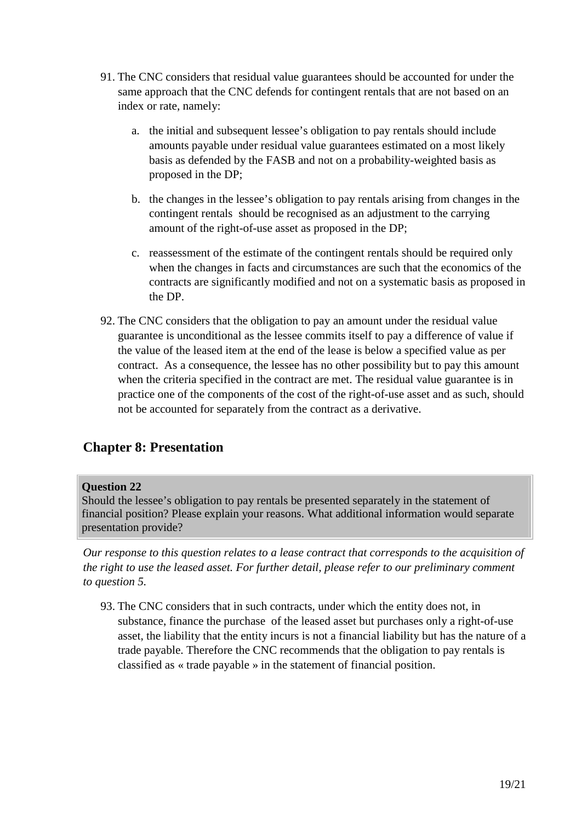- 91. The CNC considers that residual value guarantees should be accounted for under the same approach that the CNC defends for contingent rentals that are not based on an index or rate, namely:
	- a. the initial and subsequent lessee's obligation to pay rentals should include amounts payable under residual value guarantees estimated on a most likely basis as defended by the FASB and not on a probability-weighted basis as proposed in the DP;
	- b. the changes in the lessee's obligation to pay rentals arising from changes in the contingent rentals should be recognised as an adjustment to the carrying amount of the right-of-use asset as proposed in the DP;
	- c. reassessment of the estimate of the contingent rentals should be required only when the changes in facts and circumstances are such that the economics of the contracts are significantly modified and not on a systematic basis as proposed in the DP.
- 92. The CNC considers that the obligation to pay an amount under the residual value guarantee is unconditional as the lessee commits itself to pay a difference of value if the value of the leased item at the end of the lease is below a specified value as per contract. As a consequence, the lessee has no other possibility but to pay this amount when the criteria specified in the contract are met. The residual value guarantee is in practice one of the components of the cost of the right-of-use asset and as such, should not be accounted for separately from the contract as a derivative.

# **Chapter 8: Presentation**

## **Question 22**

Should the lessee's obligation to pay rentals be presented separately in the statement of financial position? Please explain your reasons. What additional information would separate presentation provide?

*Our response to this question relates to a lease contract that corresponds to the acquisition of the right to use the leased asset. For further detail, please refer to our preliminary comment to question 5.*

93. The CNC considers that in such contracts, under which the entity does not, in substance, finance the purchase of the leased asset but purchases only a right-of-use asset, the liability that the entity incurs is not a financial liability but has the nature of a trade payable. Therefore the CNC recommends that the obligation to pay rentals is classified as « trade payable » in the statement of financial position.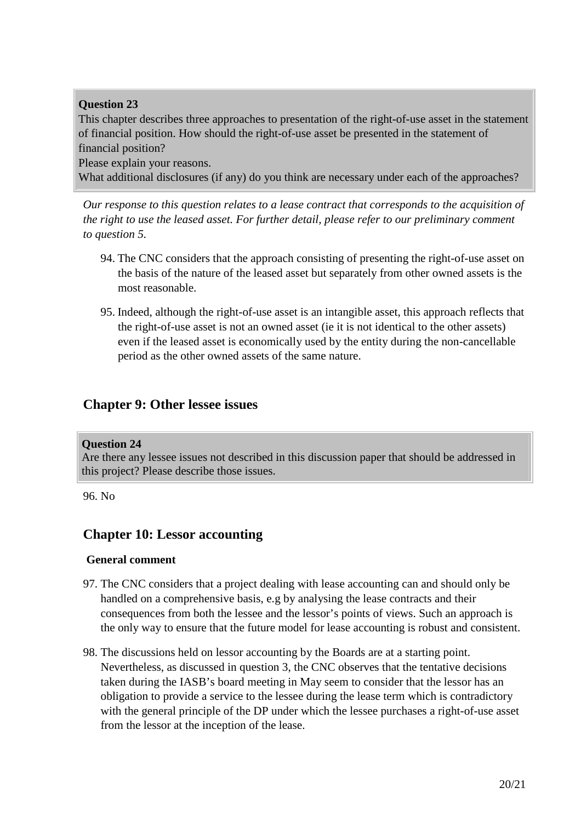This chapter describes three approaches to presentation of the right-of-use asset in the statement of financial position. How should the right-of-use asset be presented in the statement of financial position?

Please explain your reasons.

What additional disclosures (if any) do you think are necessary under each of the approaches?

*Our response to this question relates to a lease contract that corresponds to the acquisition of the right to use the leased asset. For further detail, please refer to our preliminary comment to question 5.*

- 94. The CNC considers that the approach consisting of presenting the right-of-use asset on the basis of the nature of the leased asset but separately from other owned assets is the most reasonable.
- 95. Indeed, although the right-of-use asset is an intangible asset, this approach reflects that the right-of-use asset is not an owned asset (ie it is not identical to the other assets) even if the leased asset is economically used by the entity during the non-cancellable period as the other owned assets of the same nature.

## **Chapter 9: Other lessee issues**

#### **Question 24**

Are there any lessee issues not described in this discussion paper that should be addressed in this project? Please describe those issues.

96. No

## **Chapter 10: Lessor accounting**

#### **General comment**

- 97. The CNC considers that a project dealing with lease accounting can and should only be handled on a comprehensive basis, e.g by analysing the lease contracts and their consequences from both the lessee and the lessor's points of views. Such an approach is the only way to ensure that the future model for lease accounting is robust and consistent.
- 98. The discussions held on lessor accounting by the Boards are at a starting point. Nevertheless, as discussed in question 3, the CNC observes that the tentative decisions taken during the IASB's board meeting in May seem to consider that the lessor has an obligation to provide a service to the lessee during the lease term which is contradictory with the general principle of the DP under which the lessee purchases a right-of-use asset from the lessor at the inception of the lease.